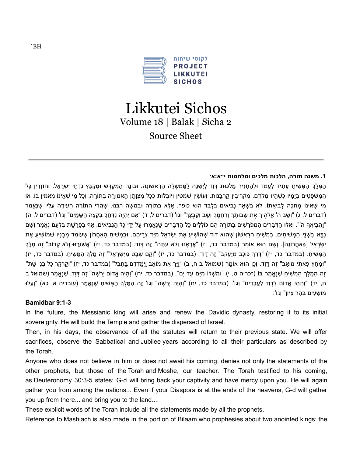

# Likkutei Sichos Volume 18 | Balak | Sicha 2 Source Sheet

# **.1 משנה תורה, הלכות מלכים ומלחמות י״א:א׳**

ָהַמֶּלֶךְ הַמָּשִׁיחַ עָתִיד לַעֲמֹד וּלְהַחְזִיר מַלכוּת דָּוִד לְיָשְׁנָהּ לַמֶּמְשָׁלָה הָרָאשׁוֹנָה. וּבוֹנֶה הַמְּקְדָּשׁ וּמְקַבֵּץ נִדְחֵי יִשְׂרָאֵל. וְחוֹזְרִין כָּל ָה מִשְׁפַּטִים בְּיָמֵיו כְּשֶׁהָיוּ מִקֶּרֶם. מַקְרִיבִין קַרבַּנוֹת. וְעוֹשִׂין שִׁמְטִּין וְיוֹבְלוֹת כְּכַל מְצָוַתן הָאֲמוּרָה בַּתּוֹרָה. וְכָל מִי שֶׁאֵינוֹ מַאֲמִין בּוֹ. אוֹ ְמִי שָׁאִינוֹ מְחַכֶּה לְבִיאתוֹ. לֹא בִּשָׁאר נָבִיאִים בַּלְבַד הוּא כּוֹפַר. אֵלָּא בַּתּוֹרָה וְבְמשֶׁה רַבְּנוּ. שֶׁהֲרִי הַתּוֹרָה הַעִידָה עַלִיו שֶׁנֵּאֲמַר (דברים ל, ג) "וְשַׁב ה' אֱלֹהֶיךָ אֶת שָׁבוּתָךְ וְרְחֲמֶךְ וְשָׁב וְקִבֶּצְךָ" וְגוֹ' (דברים ל, ד) "אָם יְהָיֶה נָדְחֲךָ בְּקָצֶה הָשָׁמַיִם" וְגוֹ' (דברים ל, ה) "וֱֶה ִבי ֲאָך ה'". וְ ֵאּלּו ַה ְּד ָב ִרים ַה ְמפָֹר ִׁשים ַּבּתֹוָרה ֵהם ּכֹו ְל ִלים ָּכל ַה ְּד ָב ִרים ֶׁשּנֶ ֶא ְמרּו ַעל יְֵדי ָּכל ַהּנְ ִבי ִאים. ַאף ְּב ָפָר ַׁשת ִּב ְל ָעם נֱֶא ַמר וְ ָׁשם ָּנְבָּא בְּשָׁנֵי הַמְּשִׁיחִים. בַּמֵּשִׁיחַ הַרְאשׁוֹן שֶׁהוּא דַּוְד שֶׁהוֹשִׁיעַ אֶת יְשָׂרָאֵל מְיַד צָרֵיהֶם. וּבַמַּשִׁיחַ הַאַחֲרוֹן שֶׁעוֹמֵד מְבַּנֵיו שֵׁמּוֹשִׁיעַ אֶת ְיִשְׂרָאֵל [בַּאחֶרוֹנַה]. וְשָׁם הוּא אוֹמֵר (במדבר כד, יז) "אֵרְאֶנּוּ וְלֹא עַתָּה" זֶה דַּוִד. (במדבר כד, יז) "אֵשׁוּרֵנּוּ וְלֹא קַרוֹב" זֵה מֶלֶךְ ָהמּשִׁיח. (במדבר כד, יז) "דּרךְ כּוֹכב מיּעַקֹב" זָה דּוד. (במדבר כד, יז) "וִקם שִׁבַט מיִשׂראל" זָה מַלֶךְ המּשִׁיח. (במדבר כד, יז) "וּמַחַץ פָּאֵתֵי מוֹאב" זֵה דַּוִד. וְכֵן הוּא אוֹמֵר (שמואל ב ח, ב) "וַיְּךָ אֶת מוֹאב וַיִּמְדְדֵם בַּחֲבֶל" (במדבר כד, יז) "וְקֵרְקַר כָּל בְּנֵי שֶׁת" ָזה הַמֵּלֶךְ הַמַּשִׁיח שַׁנַּאֲמַר בּוֹ (זכריה ט, י) "וּמשָׁלוֹ מִים עד ים". (במדבר כד, יח) "והיה אָדוֹם יְרשה" זָה דּוִד. שַנֵּאֲמַר (שמואל ב ּח, יד) "וַתָּהִי אֵדוֹם לְדַוִד לַעֱבַדִים" וְגוֹ'. (במדבר כד, יח) "וְהַיֵה יְרֵשָׁה" וְגוֹ' זֶה הַמֶּלֶךְ הַמֵּשִׁיחַ שֶׁנֵּאֱמַר (עובדיה א, כא) "וְעַלוּ מֹו ִׁש ִעים ְּב ַהר ִצּיֹון" וְגֹו':

# **Bamidbar 9:1-3**

In the future, the Messianic king will arise and renew the Davidic dynasty, restoring it to its initial sovereignty. He will build the Temple and gather the dispersed of Israel.

Then, in his days, the observance of all the statutes will return to their previous state. We will offer sacrifices, observe the Sabbatical and Jubilee years according to all their particulars as described by the Torah.

Anyone who does not believe in him or does not await his coming, denies not only the statements of the other prophets, but those of the Torah and Moshe, our teacher. The Torah testified to his coming, as Deuteronomy 30:3-5 states: G-d will bring back your captivity and have mercy upon you. He will again gather you from among the nations... Even if your Diaspora is at the ends of the heavens, G-d will gather you up from there... and bring you to the land....

These explicit words of the Torah include all the statements made by all the prophets.

Reference to Mashiach is also made in the portion of Bilaam who prophesies about two anointed kings: the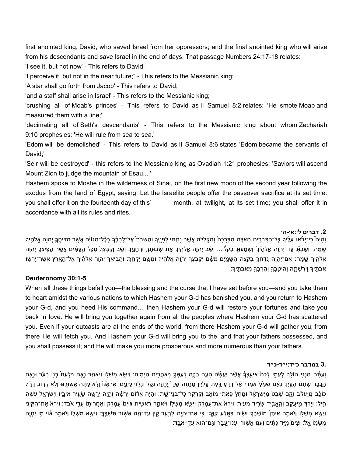first anointed king, David, who saved Israel from her oppressors; and the final anointed king who will arise from his descendants and save Israel in the end of days. That passage Numbers 24:17-18 relates:

'I see it, but not now' - This refers to David;

'I perceive it, but not in the near future;" - This refers to the Messianic king;

'A star shall go forth from Jacob' - This refers to David;

'and a staff shall arise in Israel' - This refers to the Messianic king;

'crushing all of Moab's princes' - This refers to David as II Samuel 8:2 relates: 'He smote Moab and measured them with a line;'

'decimating all of Seth's descendants' - This refers to the Messianic king about whom Zechariah 9:10 prophesies: 'He will rule from sea to sea.'

'Edom will be demolished' - This refers to David as II Samuel 8:6 states 'Edom became the servants of David;'

'Seir will be destroyed' - this refers to the Messianic king as Ovadiah 1:21 prophesies: 'Saviors will ascend Mount Zion to judge the mountain of Esau....'

Hashem spoke to Moshe in the wilderness of Sinai, on the first new moon of the second year following the exodus from the land of Egypt, saying: Let the Israelite people offer the passover sacrifice at its set time: you shall offer it on the fourteenth day of this` month, at twilight, at its set time; you shall offer it in accordance with all its rules and rites.

# **.2 דברים ל׳:א׳-ה׳**

ּוְהַיָה בִי־יַבֹּאוּ עַלֵיךְ כָּל־הַדְּבָרִים הָאֶלֵּה הַבְּרָכָה וְהַקְלַלָּה אֲשֵׁר נַתָתִּי לְפָנֵיךְ וַהֲשֶׁבֹתָ אֶל־לְבָבֶר בְּכָּל־הַגּוֹיִם אֲשֵׁר הִדִּיחֵךְ יִהְוָה אֱלֹהֵיךָ ְשָׁמַּה: וְשָׁבָתָּ עַד־יְהוֵה אֱלֹהֶיךָ וְשָׁמַעְתַּ בְקֹלוֹ... וְשָׁב יְהוֵה אֱלֹהֵיךָ אֶת־שָׁבוּתָךְ וְרַחֲמֵךְ וְשַׁב וְקִבְּצָךְ מִכָּל־הַעֲמִים אֲשֶׁר הֻפִיצָּךְ יְהוַה ָאֶלֹהֶיךָ שֶׁמָּה: אִם־יִהְיֶה <u>נִדְּחָךָ בִּקְ</u>צֶה הַשָּׁמֶיִם מִשָּׁם יְקַבֶּצְךָ יְהָוֶה אֱלֹהֶיךָ וּמִשֶׁם יִקֶּחֶךְ: וֶהֱבִיאֲךָّ יְהוֶה אֱלֹהֶיךָ אֶל־הָאֶרֶץ אֲשֶׁר־יָרְשִׁוּ ָּאֲבֹתֶיךָ וִירִשְׁתָּהּ וְהֵיטִבְךָ וְהִרִבְּךָ מֵאֲבֹתֶיךָ׃

# **Deuteronomy 30:1-5**

When all these things befall you—the blessing and the curse that I have set before you—and you take them to heart amidst the various nations to which Hashem your G-d has banished you, and you return to Hashem your G-d, and you heed His command… then Hashem your G-d will restore your fortunes and take you back in love. He will bring you together again from all the peoples where Hashem your G-d has scattered you. Even if your outcasts are at the ends of the world, from there Hashem your G-d will gather you, from there He will fetch you. And Hashem your G-d will bring you to the land that your fathers possessed, and you shall possess it; and He will make you more prosperous and more numerous than your fathers.

## **3. במדבר כ״ד:י״ד-כ״ד**

וְעַתָּה הִנְנֵי הוֹלֵךְ לְעַמֵּי לְכָה אִיעֵצְךָ אֲשֶׁר יַעֲשֶٔה הָעֶם הַזֶּה לְעַמְּךָ בְּאַחֲרֵית הַיָּמִים: וַיִּשָׂא מְשָׁלֹו וַיֹּאמַר נְאֵם בִּלְעַם בְּנִו בְעֹר וּנְאֵם ְהֶגֶּבֶר שָׁתֶם הָעָיִן: נְאָם שֹמֶעָ אָמְרֵי־אֶל וְיֹדֶע דֵּעֶת עֶלְיָוֹן מֶחֲזֶה שַׁדֵּי יֶחֱזֶה נַפְל וּגִלְוּי עֶינֶים: אֶראֶנּוּ וְלָא עַתְּה אֲשוּיֶרֶנּוּ וְלָא קַרוֹב דַּרְך ּכּוֹכָב מִיַּעֲקֹב וְקֶם שֶׁבֵּט מִישְׁרַאל וּמַחץ פָּאָתִי מוֹאב וְקַרְקַר כָּל־בְּנֵי־שָׁת: וְהַיָּה אֲדֹום יְרֵשה יְרֵשֶׁה שָׂעִיר איָבֵיו וְיָשְׂרַאל עָשֶׂה ְחֵיָל: וַיָרַדְ מֵיַעֲקָב וְהֵאֱבִיד שֶׂרֶיד מֶעִיר: וַיָּרָא אֶת־עֲמָלֶק וַיָּשֶׂא מְשָׁלָוֹ וַיֹּאמֵר רֵאשִית גּוֹיִם עַמַלֶק וְאַחֲרִיתוֹ עָדֶי אֹבֶד: וַיָּרָא אֶת־הַקֵּינִי וַיִּשָּׂא מְשָׁלָוֹ וַיֹּאמֵר אֵיתָן מְוֹשָׁבֶר וְשִׂים בַּסֵּלַע קְנֵךְ׃ כִּי אִם־יִהְיֶה לְבָעֵר קֶיִן עַד־מֶה אַשִּׁוּר תִּשְׁבֶּךְ׃ וַיִּשָּׂא מְשָׁלָוֹ וַיֹּאמֵר אֹוי מִי יִחֶיֶה ָּמְשֶּׂמָוֹ אֱל׃ וְצִים מָיֵ֣ד כָּתִּ֔ים וְעִנּּוּ אֲשֶׁוּר וְעִנּוּ־עֱבֶר וְגַם־הָוּא עֲדֵ֣י אֹבֵֽד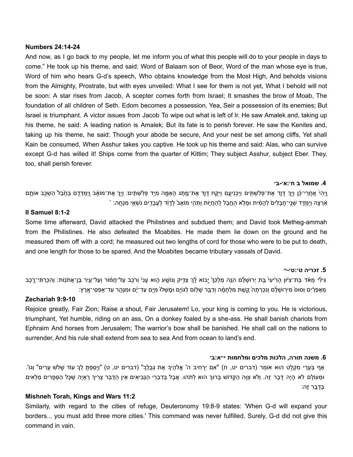#### **Numbers 24:14-24**

And now, as I go back to my people, let me inform you of what this people will do to your people in days to come." He took up his theme, and said: Word of Balaam son of Beor, Word of the man whose eye is true, Word of him who hears G-d's speech, Who obtains knowledge from the Most High, And beholds visions from the Almighty, Prostrate, but with eyes unveiled: What I see for them is not yet, What I behold will not be soon: A star rises from Jacob, A scepter comes forth from Israel; It smashes the brow of Moab, The foundation of all children of Seth. Edom becomes a possession, Yea, Seir a possession of its enemies; But Israel is triumphant. A victor issues from Jacob To wipe out what is left of Ir. He saw Amalek and, taking up his theme, he said: A leading nation is Amalek; But its fate is to perish forever. He saw the Kenites and, taking up his theme, he said: Though your abode be secure, And your nest be set among cliffs, Yet shall Kain be consumed, When Asshur takes you captive. He took up his theme and said: Alas, who can survive except G-d has willed it! Ships come from the quarter of Kittim; They subject Asshur, subject Eber. They, too, shall perish forever.

#### **.4 שמואל ב ח׳:א׳-ב׳**

וֵיְהִי אֶחֲרֵי־כֶּן וַיָּךְ דָוֵד אֶת־פָּלְשִׁתָּים וַיָּכִנִּיעֵם וַיֵּקָח דָוֵד אֶת־מֶתֶג הָאֲמֶה מְיֵד פִלְשָׁתָּים: וַיִּךְ אֶת־מוֹאָב וַיִּמְדָדֶם בַּהֲבֶל הַשָּׁכֵּב אוֹתֵם ֹאֲרָצָה וַיְמַדֵּד שְׁנֵי־חֲבָלִים ׁלְהָמִית וּמְלָא הַחֱבֶל לְהַחֲיֶוֹת וַתְּהָי מוֹאַב<sup>י</sup> לְדָוֹד לַעֲבָדֶים נֹשְׂאֵי מִנְחֶה: `

# **II Samuel 8:1-2**

Some time afterward, David attacked the Philistines and subdued them; and David took Metheg-ammah from the Philistines. He also defeated the Moabites. He made them lie down on the ground and he measured them off with a cord; he measured out two lengths of cord for those who were to be put to death, and one length for those to be spared. And the Moabites became tributary vassals of David.

## **.5 זכריה ט׳:ט׳-י׳**

ַּגִּילִי מִאֹד בַּת־צִּיּׁוֹן הַרִיעִי בֵּת יְרוּשַׁלֵּם הָנֶה מַלְכֵּךְ יָבוֹא לֵךְ צַדֵּיק וְנוֹשֵׁע הָוּא עַנִי וְרֹכֵב עַל־חֱמֹור וְעָל־עֵיר בֵּן־אֶתֹנוֹת: וְהִכָרָתִּי־רֶכֶב ַמְאֵפְרַ֫יִם וְסוּס מִירוּשַׁלֵּם וְנִכְרְתַה ְקֵשֶׁת מְלִחֲמֶ֫ה וְדָבֱר שָׁלוֹם לַגּוֹיֶם וּמָשְׁלוֹ מְיֵּים עֲד־יָּם וּמִנַּהֶר עַד־אַפְסֵי־אֲרֵץ:

## **Zechariah 9:9-10**

Rejoice greatly, Fair Zion; Raise a shout, Fair Jerusalem! Lo, your king is coming to you. He is victorious, triumphant, Yet humble, riding on an ass, On a donkey foaled by a she-ass. He shall banish chariots from Ephraim And horses from Jerusalem; The warrior's bow shall be banished. He shall call on the nations to surrender, And his rule shall extend from sea to sea And from ocean to land's end.

## **.6 משנה תורה, הלכות מלכים ומלחמות י״א:ב׳**

ָאף בְּעָרֵי מִקְלָט הוּא אוֹמֶר (דברים יט, ח) "אִם יַרְחִיב ה' אֱלֹהֶיךָ אֶת גָּבֵלְךָ" (דברים יט, ט) "וְיַסַפְתָּ לְךָ עוֹד שָׁלֹש עָרִים" וְגוֹ'. <mark>ּוּמֵעוֹלָם לֹא הָיָה דָּבָר זֶה. וְלֹא צִוָּה הַק</mark>ֵּדוֹשׁ בָּרוּךְ הוּא לְתֹהוּ. אֲבָל בְּדִבְרֵי הַנְּבִיאִים אֵין הַדָּבָר צָרִיךְ רְאָיָה שֶׁכָּל הַסְּפָרִים מְלֵאִים ְּבָד ָבר ֶזה:

# **Mishneh Torah, Kings and Wars 11:2**

Similarly, with regard to the cities of refuge, Deuteronomy 19:8-9 states: 'When G-d will expand your borders... you must add three more cities.' This command was never fulfilled. Surely, G-d did not give this command in vain.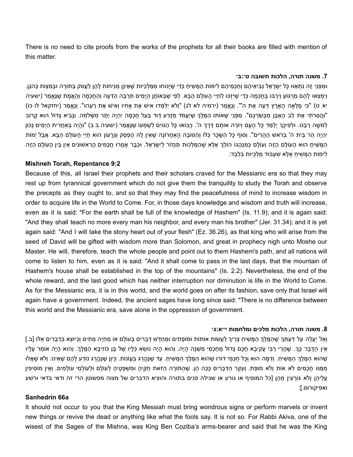There is no need to cite proofs from the works of the prophets for all their books are filled with mention of this matter.

#### **.7 משנה תורה, הלכות תשובה ט׳:ב׳**

וּמפָּנִי זָה נִתָּאוּוּ כָּל יִשָׂרָאל נְביאיהֶם וְחכָמיהֶם לימוֹת המַשׁיח כָּדי שַׁיַּנוּחוּ ממלכִיּוֹת שַׁאינַן מְניחוֹת לַהן לעֶסֹק בּתּוֹרָה וּבמּצָוֹת כּהֹגֶן. וִימצאוּ להם מרגּוֹע וִירבּוּ בַּחכמה כַּדי שִׁיזַכּוּ לַחיִי העוֹלם הבא. לפי שִׁבַּאוֹתן הימים תּרבּה הדּעה וְהחכמה וְהאַמת שנַאֲמר (ישעיה יא ט) "כִּי מָלְאַה הָאַרֵץ דֵּעָה אֶת ה'". וְנֵאֱמַר (ירמיה לא לג) "וְלֹא יְלַמְּדוּ אִישׁ אֶת אַחִיו וְאִישׁ אֶת רֵעֵהוּ". וְנֵאֱמַר (יחזקאל לו כו) וַהַסְרֹתִי אֶת לֶב הָאֶבֵן מִבְּשַׂרְכֶם". מִפְּנֵי שֶׁאוֹתוֹ הַמֶּלֶךְ שִׁיַּעֲמֹד מְזֵרַע דָּוִד בַּעַל חֲכָמָה יְהָיֶה יֶתֶר מְשָׁלמֹה. וְנָבִיא גַּדוֹל הוּא קַרוֹב" ְלְמֹשֶׁה רַבְּנוּ. וּלְפִיכָךְ יְלַמֵּד כָּל הָעָם וְיוֹרֶה אוֹתָם דֶּרֶךְ ה'. וְיָבוֹאוּ כָּל הָגּוִים לְשָׁמְעוֹ שֶׁנֶּאֱמַר (ישעיה ב ב) "וְהָיָה בְּאַחֲרָית הַיָּמִים נָכוֹן ְיָהְיֶה הַר בֵּית ה' בִּרֹאשׁ הֶהָרִים". וְסוֹף כָּל הַשָּׂכָר כָּלּוֹ וְהַטּוֹבָה הָאֲחֲרוֹנָה שָׁאֵין לַהּ הֶפְסֶק וְגֶרַעוֹן הוּא חַיֵּי הַעוֹלַם הַבָּא. אֲבָל יְמוֹת ָהַמָּשִׁיחַ הוּא הָעוֹלָם הַזֶּה וְעוֹלָם כְּמִנְהָגוֹ הוֹלֵךְ אֶלָּא שֶׁהַמַּלְכוּת תַּחֲזֹר לְיִשְׂרָאֵל. וּכְבָר אַמְרוּ חֲכָמִים הָראשׁוֹנִים אֵין בֵּין הָעוֹלָם הַזֶּה ִלימֹות ַה ָּמ ִׁשי ַח ֶא ָּלא ִׁש ְעּבּוד ַמ ְלֻכּיֹות ִּב ְל ַבד:

## **Mishneh Torah, Repentance 9:2**

Because of this, all Israel their prophets and their scholars craved for the Messianic era so that they may rest up from tyrannical government which do not give them the tranquility to study the Torah and observe the precepts as they ought to, and so that they may find the peacefulness of mind to increase wisdom in order to acquire life in the World to Come. For, in those days knowledge and wisdom and truth will increase, even as it is said: "For the earth shall be full of the knowledge of Hashem" (Is. 11.9); and it is again said: "And they shall teach no more every man his neighbor, and every man his brother" (Jer. 31.34); and it is yet again said: "And I will take the stony heart out of your flesh" (Ez. 36.26), as that king who will arise from the seed of David will be gifted with wisdom more than Solomon, and great in prophecy nigh unto Moshe our Master. He will, therefore, teach the whole people and point out to them Hashem's path, and all nations will come to listen to him, even as it is said: "And it shall come to pass in the last days, that the mountain of Hashem's house shall be established in the top of the mountains" (Is. 2.2). Nevertheless, the end of the whole reward, and the last good which has neither interruption nor diminution is life in the World to Come. As for the Messianic era, it is in this world, and the world goes on after its fashion, save only that Israel will again have a government. Indeed, the ancient sages have long since said: "There is no difference between this world and the Messianic era, save alone in the oppression of government.

#### **.8 משנה תורה, הלכות מלכים ומלחמות י״א:ג׳**

ְוָאל יַעֲלֶה עַל דַעְתִּךְ שָׁהַמֵּלֶךְ הַמַּשִׁיחַ צַרִיךְ לַעֲשׂוֹת אוֹתוֹת וּמוֹפָתִים וּמְחַדָּשׁ דְּבַרִים בַּעוֹלִם אוֹ מְחַיֶּה מֵתִים וְכִיּוֹצָא בִּדְבַרִים אָלּוּ [ב.] ַאֵין הַדָּבָר כָּךְ. שֶׁהֲרֵי רַבִּי עֲקִיבָא חָכָם גָּדוֹל מֵחַכְמֵי מִשְׁנָה הָיָה. וְהוּא הָיָה וֹשֹׁא כֵּלָיו שֶׁל בֶּן כּוֹזִיבָא הַמֶּלֶךְ. וְהוּא הָיָה אוֹמֵר עָלָיו ֶּׁשֶׁהוּא הַמֶּלֶךְ הַמָּשִׁיחַ. וְדָמָּה הוּא וְכָל חַכְמֵי דּוֹרוֹ שֶׁהוּא הַמֶּלֶךְ הַמָּשִׁיחַ. עַד שֶׁנֶהֶרֵג בַּעֲונוֹת. כֵּיוָן שֶׁנֶּהֶרֵג נוֹדַע לָהֶם שֶׁאֵינוֹ. וְלֹא שָׁאֲלוּ ַמְּמֵּנּוּ חֲכָמִים לֹא אוֹת וְלֹא מוֹפֶת. וְעָקֵּר הַדְּבָרִים כָּכָה הֵן. שֶׁהַתּוֹרָה הַזֹּאת חֻקֵּיהָ וּמִשְׁפָּטֵיהַ לְעוֹלָם וּלְעוֹלְמֵי עוֹלַמִים. וְאֵין מוֹסִיפִין ַעֲלִיהֶן וְלֹא גּוֹרְעִין מֵהֶן [כל המוסיף או גורע או שגילה פנים בתורה והוציא הדברים של מצוה מפשוטן הרי זה ודאי בדאי ורשע ואפיקורוס.[:

# **Sanhedrin 66a**

It should not occur to you that the King Messiah must bring wondrous signs or perform marvels or invent new things or revive the dead or anything like what the fools say. It is not so. For Rabbi Akiva, one of the wisest of the Sages of the Mishna, was King Ben Coziba's arms-bearer and said that he was the King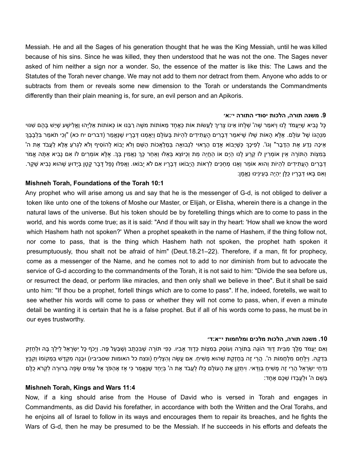Messiah. He and all the Sages of his generation thought that he was the King Messiah, until he was killed because of his sins. Since he was killed, they then understood that he was not the one. The Sages never asked of him neither a sign nor a wonder. So, the essence of the matter is like this: The Laws and the Statutes of the Torah never change. We may not add to them nor detract from them. Anyone who adds to or subtracts from them or reveals some new dimension to the Torah or understands the Commandments differently than their plain meaning is, for sure, an evil person and an Apikoris.

#### **.9 משנה תורה, הלכות יסודי התורה י׳:א׳**

ָּכָּל נַביא שֶׁיּעֲמֹד לָנוּ וְיֹאמֹר שֶׁה' שָׁלַחוֹ אינוֹ צֵריךְ לְעֵשׂוֹת אוֹת כָּאֶחַד מאותוֹת משֶׁה רבּנוּ אוֹ כָּאוֹתוֹת אליַהוּ וֶאֱלישָׁע שֶׁיּשׁ בַּהֶם שׁנּוּי ַמְנָהָגוֹ שֶׁל עוֹלַם. אֶלֵּא הָאוֹת שֶׁלּוֹ שֵׁיֹּאמַר דְּבָרִים הַעֲתִידִים לְהִיוֹת בַּעוֹלַם וְיֵאֲמְנוּ דְּבָרֵיו שֶׁנֵּאֱמַר (דברים יח כא) "וְכִי תֹאמַר בְּלְבָבֶךְ ָאִיכָה נֵדַע אֶת הַדָּבָר" וְגוֹ'. לְפִיכַךְ כְּשֵׁיָבוֹא אדָם הַרָאוּי לְנְבוּאה בְּמַלְאֶכוֹת הַשֶּׁם וְלֹא יָבֹוא לְהוֹסִיף וְלֹא לְגרֹע אֶלָּא לְעֲבֹד אֶת ה' ָבְּמְצָוֹת הַתּוֹרָה אֵין אוֹמְרִין לֹו קְרֵע לָנוּ הַיָּם אוֹ הָחֵיֶה מֶת וְכָיּוֹצֵא בְּאֶלּוּ וְאַחֲר כָּךְ נַאֲמִין בִּךְ. אֶלַּא אוֹמְרִים לוֹ אִם נַבִיא אַתַּה אֱמֹר ִּדְּבָרִים הָעֲתִידִים לְהִיוֹת וְהוּא אוֹמֵר וְאָנוּ מְחַכִּים לְרָאוֹת הֲיָבוֹאוּ דְּבָרָיו אִם לֹא יָבוֹאוּ. וַאֲפִלּוּ נָפָל דָּבָר קַטָן בְיָדוּעַ שֶׁהוּא נְבִיא שֶׁקֶר. ּוְאִם בָּאוּ דְּבָרַיו כָּלַּן יְהָיֵה בְּעֵינֵינוּ נֵאֱמַן:

### **Mishneh Torah, Foundations of the Torah 10:1**

Any prophet who will arise among us and say that he is the messenger of G-d, is not obliged to deliver a token like unto one of the tokens of Moshe our Master, or Elijah, or Elisha, wherein there is a change in the natural laws of the universe. But his token should be by foretelling things which are to come to pass in the world, and his words come true; as it is said: "And if thou wilt say in thy heart: 'How shall we know the word which Hashem hath not spoken?' When a prophet speaketh in the name of Hashem, if the thing follow not, nor come to pass, that is the thing which Hashem hath not spoken, the prophet hath spoken it presumptuously, thou shalt not be afraid of him" (Deut.18.21–22). Therefore, if a man, fit for prophecy, come as a messenger of the Name, and he comes not to add to nor diminish from but to advocate the service of G-d according to the commandments of the Torah, it is not said to him: "Divide the sea before us, or resurrect the dead, or perform like miracles, and then only shall we believe in thee". But it shall be said unto him: "If thou be a prophet, fortell things which are to come to pass". If he, indeed, foretells, we wait to see whether his words will come to pass or whether they will not come to pass, when, if even a minute detail be wanting it is certain that he is a false prophet. But if all of his words come to pass, he must be in our eyes trustworthy.

#### **.10 משנה תורה, הלכות מלכים ומלחמות י״א:ד׳**

וְאִם יַעֲמֹד מֶלֶךְ מְבֵית דָּוִד הוֹגֶה בַּתּוֹרָה וְעוֹסֶק בִּמְצָוֹת כָּדַוִד אַבִיו. כָּפִי תּוֹרָה שֶׁבְּכָתָב וְשֶׁבְעַל פֵּה. וְיָכֹף כָּל יִשְׂרָאֵל לֵילֶךְ בַּהּ וּלְחָזֶק ָבְּדָקָהּ. וְיָלַחֶם מְלְחֻמוֹת ה'. הָרֵי זֶה בְּחֶזָקֶת שֶׁהוּא מַשִׁיחַ. אִם עַשָׂה וְהָצְלִיחַ (ונצח כל האומות שסביביו) וּבָנַה מִקְדַּשׁ בִּמְקוֹמוֹ וְקִבְּץ ַנְדְחֵי יִשְׂרָאֵל הָרֵי זֵה מַשִׁיחַ בְּוַדָּאי. וְיִתַּקֵן אֶת הַעוֹלַם כָּלֹו לַעֲבֹד אֶת ה' בְּיַחַד שֶׁנֵּאֱמַר כִּי אַז אֵהִפֹּךְ אֶל עַמִּים שַׂפָּה בְרוּרַה לְקָרֹא כָלַם ָּבְשֶׁם ה' וּלְעַבְדוֹ שָׁכֶם אֶחֲד:

# **Mishneh Torah, Kings and Wars 11:4**

Now, if a king should arise from the House of David who is versed in Torah and engages in Commandments, as did David his forefather, in accordance with both the Written and the Oral Torahs, and he enjoins all of Israel to follow in its ways and encourages them to repair its breaches, and he fights the Wars of G-d, then he may be presumed to be the Messiah. If he succeeds in his efforts and defeats the